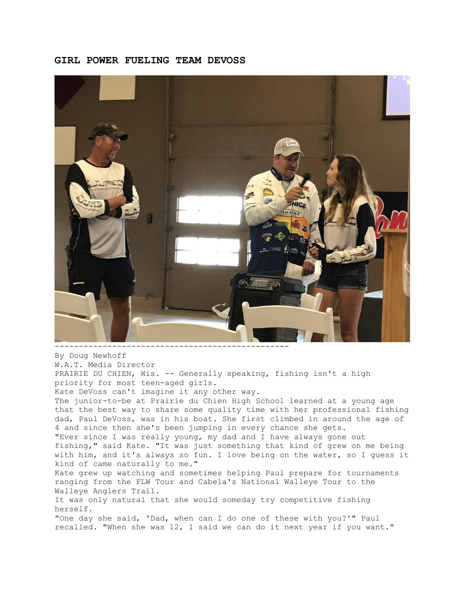## **GIRL POWER FUELING TEAM DEVOSS**



By Doug Newhoff W.A.T. Media Director PRAIRIE DU CHIEN, Wis. -- Generally speaking, fishing isn't a high priority for most teen-aged girls. Kate DeVoss can't imagine it any other way. The junior-to-be at Prairie du Chien High School learned at a young age that the best way to share some quality time with her professional fishing dad, Paul DeVoss, was in his boat. She first climbed in around the age of 4 and since then she's been jumping in every chance she gets. "Ever since I was really young, my dad and I have always gone out fishing," said Kate. "It was just something that kind of grew on me being with him, and it's always so fun. I love being on the water, so I guess it kind of came naturally to me." Kate grew up watching and sometimes helping Paul prepare for tournaments ranging from the FLW Tour and Cabela's National Walleye Tour to the Walleye Anglers Trail. It was only natural that she would someday try competitive fishing herself. "One day she said, 'Dad, when can I do one of these with you?'" Paul recalled. "When she was 12, I said we can do it next year if you want."